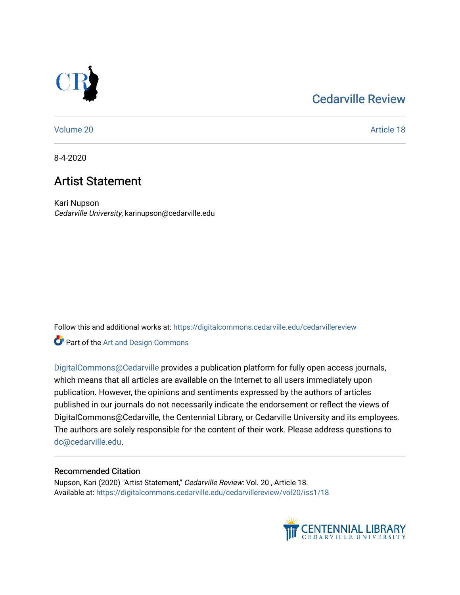# [Cedarville Review](https://digitalcommons.cedarville.edu/cedarvillereview)



[Volume 20](https://digitalcommons.cedarville.edu/cedarvillereview/vol20) Article 18

8-4-2020

# Artist Statement

Kari Nupson Cedarville University, karinupson@cedarville.edu

Follow this and additional works at: [https://digitalcommons.cedarville.edu/cedarvillereview](https://digitalcommons.cedarville.edu/cedarvillereview?utm_source=digitalcommons.cedarville.edu%2Fcedarvillereview%2Fvol20%2Fiss1%2F18&utm_medium=PDF&utm_campaign=PDFCoverPages) 

**Part of the [Art and Design Commons](http://network.bepress.com/hgg/discipline/1049?utm_source=digitalcommons.cedarville.edu%2Fcedarvillereview%2Fvol20%2Fiss1%2F18&utm_medium=PDF&utm_campaign=PDFCoverPages)** 

[DigitalCommons@Cedarville](http://digitalcommons.cedarville.edu/) provides a publication platform for fully open access journals, which means that all articles are available on the Internet to all users immediately upon publication. However, the opinions and sentiments expressed by the authors of articles published in our journals do not necessarily indicate the endorsement or reflect the views of DigitalCommons@Cedarville, the Centennial Library, or Cedarville University and its employees. The authors are solely responsible for the content of their work. Please address questions to [dc@cedarville.edu.](mailto:dc@cedarville.edu)

## Recommended Citation

Nupson, Kari (2020) "Artist Statement," Cedarville Review: Vol. 20 , Article 18. Available at: [https://digitalcommons.cedarville.edu/cedarvillereview/vol20/iss1/18](https://digitalcommons.cedarville.edu/cedarvillereview/vol20/iss1/18?utm_source=digitalcommons.cedarville.edu%2Fcedarvillereview%2Fvol20%2Fiss1%2F18&utm_medium=PDF&utm_campaign=PDFCoverPages)

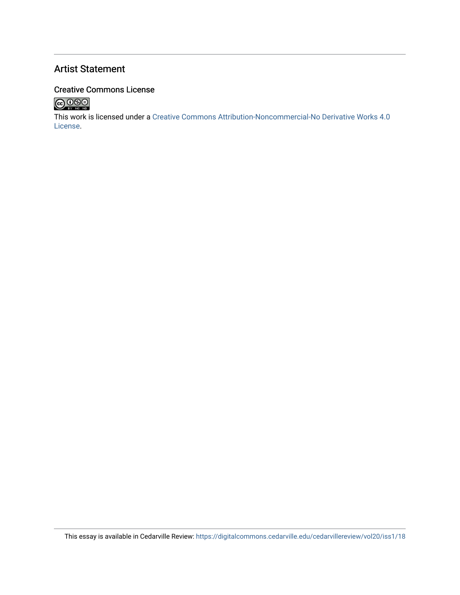## Artist Statement

## Creative Commons License



This work is licensed under a [Creative Commons Attribution-Noncommercial-No Derivative Works 4.0](http://creativecommons.org/licenses/by-nc-nd/4.0/) [License](http://creativecommons.org/licenses/by-nc-nd/4.0/).